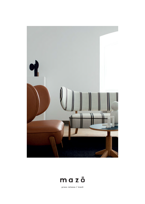



press release / mazō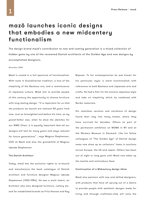## mazō launches iconic designs that embodies a new midcentery functionalism

The design brand mazō's contribution to new and coming generation is a mixed collection of hidden gems by one of the renowned Danish architects of the Golden Age and new designs by accomplished designers.

## November 2020

Mazō is rooted in a full spectrum of functionalism: With roots in Scandinavian tradition, a love of the simplicity of the Bauhaus era, and a reminiscence of Japanese culture. Mazō aim to provide people of this century the opportunity to choose furniture with long lasting design. "It is important for us that the products we launch are relevant 50 years from now. Just as foresighted and before his time, as my grand-father was, when he drew the sketches for our WNG Chair, it is equally important that all our designs will last for many years and stays relevant for future generations" , says Magnus Stephensen, CEO at Mazō and also the grandchild of Magnus Læssøe Stephensen.

## The Danish Architect

Today, mazō has the exclusive rights to re-launch and manufacture the back catalogue of Danish architect and furniture designer Magnus Læssøe Stephensen (1903-1984). He was a multi talent, an Architect who also designed furniture, cutlery etc. and for established brands as Fritz Hansen and Kay

Bojesen. To his contemporaries he was known for his particular style: a warm functionalism with references to both Bauhaus and Japanese arts and crafts. He had a flair for the ancient Japanese style and take on simplicity which he combined with Nordic materials.

His relentless versions and variations of design found their way into many homes, where they have survived for decades. Others as part of the permanent exhibition on MOMA in NY and at the Workers Museum in Denmark. Like his fellow colleagues of "The Golden Age" of Danish design some now show up as collectors' items in auctions across Europe, the US and Japan. Others has been out of sight or long gone until Mazō now takes up the mantle and reintroduce them.

## Continuation of a Midcentury design idiom

Mazō also partners with new and skilled designers, with products that have all sprung out of a desire to provide people with aesthetic designs made for living and through craftsman-ship will raise the